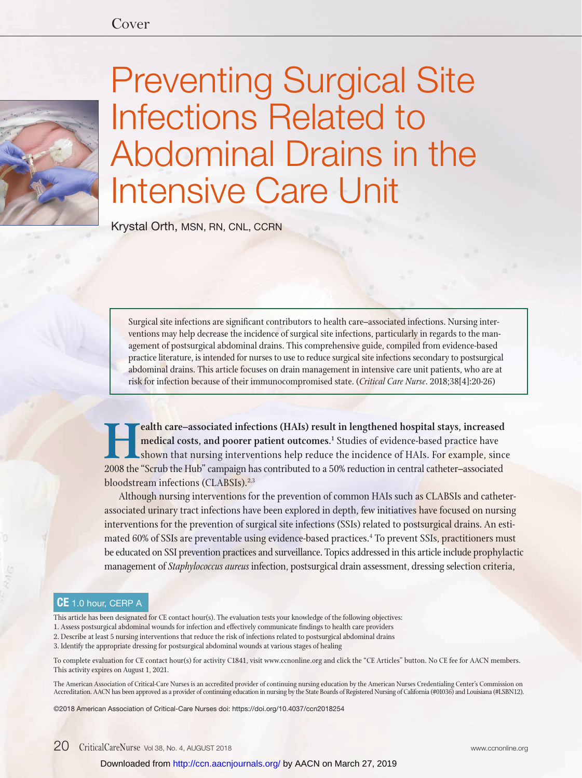

# Preventing Surgical Site Infections Related to Abdominal Drains in the Intensive Care Unit

Krystal Orth, MSN, RN, CNL, CCRN

Surgical site infections are significant contributors to health care–associated infections. Nursing interventions may help decrease the incidence of surgical site infections, particularly in regards to the management of postsurgical abdominal drains. This comprehensive guide, compiled from evidence-based practice literature, is intended for nurses to use to reduce surgical site infections secondary to postsurgical abdominal drains. This article focuses on drain management in intensive care unit patients, who are at risk for infection because of their immunocompromised state. (*Critical Care Nurse*. 2018;38[4]:20-26)

**Health care–associated infections (HAIs) result in lengthened hospital stays, increased medical costs, and poorer patient outcomes.<sup>1</sup> Studies of evidence-based practice have shown that nursing interventions help reduce t medical costs, and poorer patient outcomes.1** Studies of evidence-based practice have shown that nursing interventions help reduce the incidence of HAIs. For example, since 2008 the "Scrub the Hub" campaign has contributed to a 50% reduction in central catheter–associated bloodstream infections (CLABSIs).<sup>2,3</sup>

Although nursing interventions for the prevention of common HAIs such as CLABSIs and catheterassociated urinary tract infections have been explored in depth, few initiatives have focused on nursing interventions for the prevention of surgical site infections (SSIs) related to postsurgical drains. An estimated 60% of SSIs are preventable using evidence-based practices.<sup>4</sup> To prevent SSIs, practitioners must be educated on SSI prevention practices and surveillance. Topics addressed in this article include prophylactic management of *Staphylococcus aureus* infection, postsurgical drain assessment, dressing selection criteria,

#### **CE** 1.0 hour, CERP A

This article has been designated for CE contact hour(s). The evaluation tests your knowledge of the following objectives:

- 1. Assess postsurgical abdominal wounds for infection and effectively communicate findings to health care providers
- 2. Describe at least 5 nursing interventions that reduce the risk of infections related to postsurgical abdominal drains
- 3. Identify the appropriate dressing for postsurgical abdominal wounds at various stages of healing

To complete evaluation for CE contact hour(s) for activity C1841, visit www.ccnonline.org and click the "CE Articles" button. No CE fee for AACN members. This activity expires on August 1, 2021.

 The American Association of Critical-Care Nurses is an accredited provider of continuing nursing education by the American Nurses Credentialing Center's Commission on Accreditation. AACN has been approved as a provider of continuing education in nursing by the State Boards of Registered Nursing of California (#01036) and Louisiana (#LSBN12).

©2018 American Association of Critical-Care Nurses doi: https://doi.org/10.4037/ccn2018254

20 CriticalCareNurse Vol 38, No. 4, AUGUST 2018 www.ccnonline.org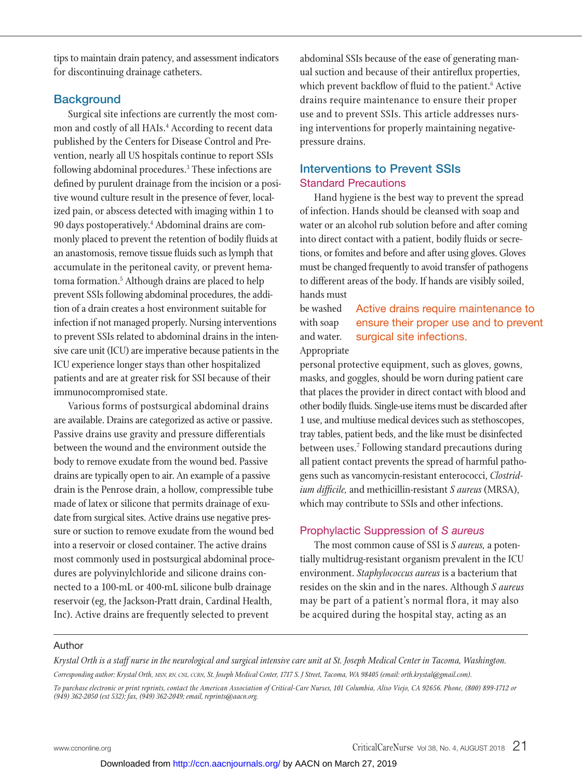tips to maintain drain patency, and assessment indicators for discontinuing drainage catheters.

#### **Background**

Surgical site infections are currently the most common and costly of all HAIs.<sup>4</sup> According to recent data published by the Centers for Disease Control and Prevention, nearly all US hospitals continue to report SSIs following abdominal procedures.3 These infections are defined by purulent drainage from the incision or a positive wound culture result in the presence of fever, localized pain, or abscess detected with imaging within 1 to 90 days postoperatively.4 Abdominal drains are commonly placed to prevent the retention of bodily fluids at an anastomosis, remove tissue fluids such as lymph that accumulate in the peritoneal cavity, or prevent hematoma formation.<sup>5</sup> Although drains are placed to help prevent SSIs following abdominal procedures, the addition of a drain creates a host environment suitable for infection if not managed properly. Nursing interventions to prevent SSIs related to abdominal drains in the intensive care unit (ICU) are imperative because patients in the ICU experience longer stays than other hospitalized patients and are at greater risk for SSI because of their immunocompromised state.

Various forms of postsurgical abdominal drains are available. Drains are categorized as active or passive. Passive drains use gravity and pressure differentials between the wound and the environment outside the body to remove exudate from the wound bed. Passive drains are typically open to air. An example of a passive drain is the Penrose drain, a hollow, compressible tube made of latex or silicone that permits drainage of exudate from surgical sites. Active drains use negative pressure or suction to remove exudate from the wound bed into a reservoir or closed container. The active drains most commonly used in postsurgical abdominal procedures are polyvinylchloride and silicone drains connected to a 100-mL or 400-mL silicone bulb drainage reservoir (eg, the Jackson-Pratt drain, Cardinal Health, Inc). Active drains are frequently selected to prevent

abdominal SSIs because of the ease of generating manual suction and because of their antireflux properties, which prevent backflow of fluid to the patient.<sup>6</sup> Active drains require maintenance to ensure their proper use and to prevent SSIs. This article addresses nursing interventions for properly maintaining negativepressure drains.

#### **Interventions to Prevent SSIs** Standard Precautions

Hand hygiene is the best way to prevent the spread of infection. Hands should be cleansed with soap and water or an alcohol rub solution before and after coming into direct contact with a patient, bodily fluids or secretions, or fomites and before and after using gloves. Gloves must be changed frequently to avoid transfer of pathogens to different areas of the body. If hands are visibly soiled, hands must

be washed with soap and water. Appropriate Active drains require maintenance to ensure their proper use and to prevent surgical site infections.

personal protective equipment, such as gloves, gowns, masks, and goggles, should be worn during patient care that places the provider in direct contact with blood and other bodily fluids. Single-use items must be discarded after 1 use, and multiuse medical devices such as stethoscopes, tray tables, patient beds, and the like must be disinfected between uses.<sup>7</sup> Following standard precautions during all patient contact prevents the spread of harmful pathogens such as vancomycin-resistant enterococci, *Clostridium difficile,* and methicillin-resistant *S aureus* (MRSA), which may contribute to SSIs and other infections.

#### Prophylactic Suppression of S aureus

The most common cause of SSI is *S aureus,* a potentially multidrug-resistant organism prevalent in the ICU environment. *Staphylococcus aureus* is a bacterium that resides on the skin and in the nares. Although *S aureus* may be part of a patient's normal flora, it may also be acquired during the hospital stay, acting as an

#### Author

*Krystal Orth is a staff nurse in the neurological and surgical intensive care unit at St. Joseph Medical Center in Tacoma, Washington. Corresponding author: Krystal Orth, MSN, RN, CNL, CCRN, St. Joseph Medical Center, 1717 S. J Street, Tacoma, WA 98405 (email: orth.krystal@gmail.com).* 

*To purchase electronic or print reprints, contact the American Association of Critical-Care Nurses, 101 Columbia, Aliso Viejo, CA 92656. Phone, (800) 899-1712 or (949) 362-2050 (ext 532); fax, (949) 362-2049; email, reprints@aacn.org.*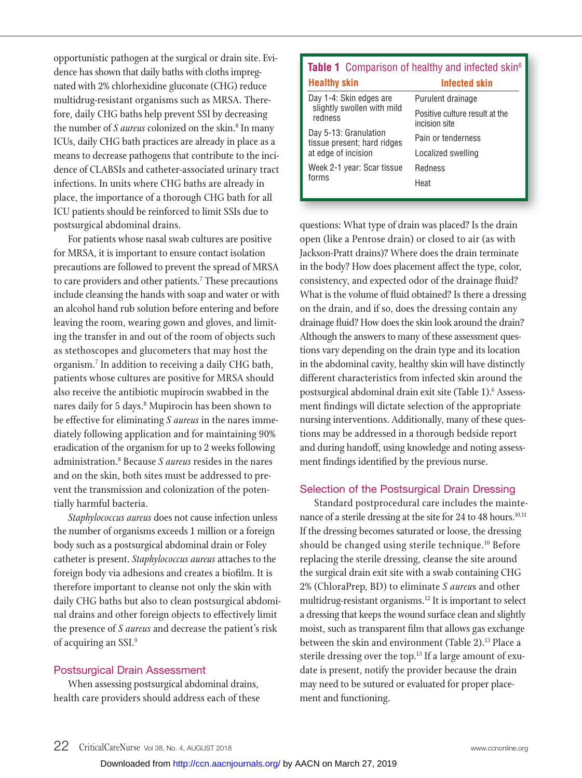opportunistic pathogen at the surgical or drain site. Evidence has shown that daily baths with cloths impregnated with 2% chlorhexidine gluconate (CHG) reduce multidrug-resistant organisms such as MRSA. Therefore, daily CHG baths help prevent SSI by decreasing the number of *S aureus* colonized on the skin.<sup>8</sup> In many ICUs, daily CHG bath practices are already in place as a means to decrease pathogens that contribute to the incidence of CLABSIs and catheter-associated urinary tract infections. In units where CHG baths are already in place, the importance of a thorough CHG bath for all ICU patients should be reinforced to limit SSIs due to postsurgical abdominal drains.

For patients whose nasal swab cultures are positive for MRSA, it is important to ensure contact isolation precautions are followed to prevent the spread of MRSA to care providers and other patients.<sup>7</sup> These precautions include cleansing the hands with soap and water or with an alcohol hand rub solution before entering and before leaving the room, wearing gown and gloves, and limiting the transfer in and out of the room of objects such as stethoscopes and glucometers that may host the organism.<sup>7</sup> In addition to receiving a daily CHG bath, patients whose cultures are positive for MRSA should also receive the antibiotic mupirocin swabbed in the nares daily for 5 days.<sup>8</sup> Mupirocin has been shown to be effective for eliminating *S aureus* in the nares immediately following application and for maintaining 90% eradication of the organism for up to 2 weeks following administration.<sup>8</sup> Because *S aureus* resides in the nares and on the skin, both sites must be addressed to prevent the transmission and colonization of the potentially harmful bacteria.

*Staphylococcus aureus* does not cause infection unless the number of organisms exceeds 1 million or a foreign body such as a postsurgical abdominal drain or Foley catheter is present. *Staphylococcus aureus* attaches to the foreign body via adhesions and creates a biofilm. It is therefore important to cleanse not only the skin with daily CHG baths but also to clean postsurgical abdominal drains and other foreign objects to effectively limit the presence of *S aureus* and decrease the patient's risk of acquiring an SSI.<sup>9</sup>

#### Postsurgical Drain Assessment

When assessing postsurgical abdominal drains, health care providers should address each of these

#### Table 1 Comparison of healthy and infected skin<sup>6</sup> **Healthy skin** Day 1-4: Skin edges are slightly swollen with mild redness Day 5-13: Granulation tissue present; hard ridges at edge of incision Week 2-1 year: Scar tissue forms **Infected skin** Purulent drainage Positive culture result at the incision site Pain or tenderness Localized swelling Redness Heat

questions: What type of drain was placed? Is the drain open (like a Penrose drain) or closed to air (as with Jackson-Pratt drains)? Where does the drain terminate in the body? How does placement affect the type, color, consistency, and expected odor of the drainage fluid? What is the volume of fluid obtained? Is there a dressing on the drain, and if so, does the dressing contain any drainage fluid? How does the skin look around the drain? Although the answers to many of these assessment questions vary depending on the drain type and its location in the abdominal cavity, healthy skin will have distinctly different characteristics from infected skin around the postsurgical abdominal drain exit site (Table 1).<sup>6</sup> Assessment findings will dictate selection of the appropriate nursing interventions. Additionally, many of these questions may be addressed in a thorough bedside report and during handoff, using knowledge and noting assessment findings identified by the previous nurse.

#### Selection of the Postsurgical Drain Dressing

Standard postprocedural care includes the maintenance of a sterile dressing at the site for 24 to 48 hours.<sup>10,11</sup> If the dressing becomes saturated or loose, the dressing should be changed using sterile technique.10 Before replacing the sterile dressing, cleanse the site around the surgical drain exit site with a swab containing CHG 2% (ChloraPrep, BD) to eliminate *S aureu*s and other multidrug-resistant organisms.<sup>12</sup> It is important to select a dressing that keeps the wound surface clean and slightly moist, such as transparent film that allows gas exchange between the skin and environment (Table 2).<sup>13</sup> Place a sterile dressing over the top.<sup>13</sup> If a large amount of exudate is present, notify the provider because the drain may need to be sutured or evaluated for proper placement and functioning.

Downloaded from<http://ccn.aacnjournals.org/>by AACN on March 27, 2019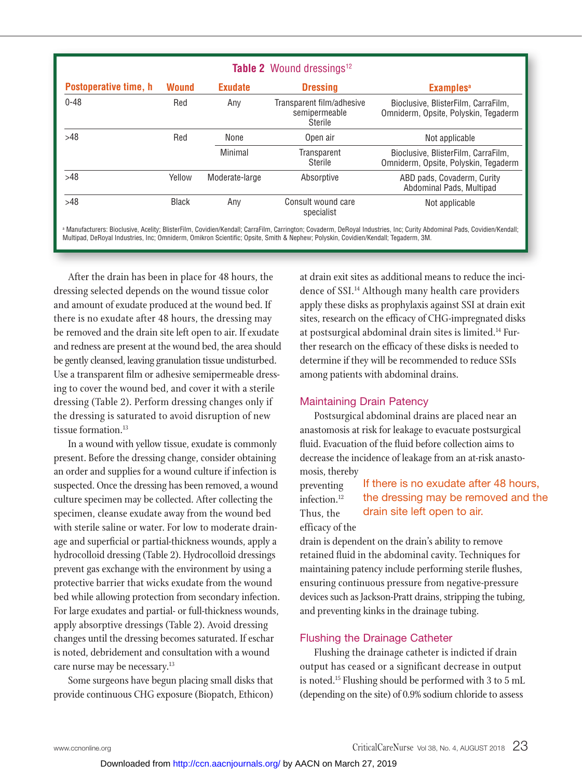| <b>Table 2</b> Wound dressings <sup>12</sup>                                                                                                                                                                                                                                                                  |              |                |                                                       |                                                                             |
|---------------------------------------------------------------------------------------------------------------------------------------------------------------------------------------------------------------------------------------------------------------------------------------------------------------|--------------|----------------|-------------------------------------------------------|-----------------------------------------------------------------------------|
| Postoperative time, h                                                                                                                                                                                                                                                                                         | Wound        | <b>Exudate</b> | <b>Dressing</b>                                       | <b>Examples</b> <sup>a</sup>                                                |
| $0 - 48$                                                                                                                                                                                                                                                                                                      | Red          | Any            | Transparent film/adhesive<br>semipermeable<br>Sterile | Bioclusive, BlisterFilm, CarraFilm,<br>Omniderm, Opsite, Polyskin, Tegaderm |
| >48                                                                                                                                                                                                                                                                                                           | Red          | None           | Open air                                              | Not applicable                                                              |
|                                                                                                                                                                                                                                                                                                               |              | Minimal        | Transparent<br>Sterile                                | Bioclusive, BlisterFilm, CarraFilm,<br>Omniderm, Opsite, Polyskin, Tegaderm |
| $>48$                                                                                                                                                                                                                                                                                                         | Yellow       | Moderate-large | Absorptive                                            | ABD pads, Covaderm, Curity<br>Abdominal Pads, Multipad                      |
| $>48$                                                                                                                                                                                                                                                                                                         | <b>Black</b> | Any            | Consult wound care<br>specialist                      | Not applicable                                                              |
| a Manufacturers: Bioclusive, Acelity; BlisterFilm, Covidien/Kendall; CarraFilm, Carrington; Covaderm, DeRoyal Industries, Inc; Curity Abdominal Pads, Covidien/Kendall;<br>Multipad, DeRoyal Industries, Inc; Omniderm, Omikron Scientific; Opsite, Smith & Nephew; Polyskin, Covidien/Kendall; Tegaderm, 3M. |              |                |                                                       |                                                                             |

After the drain has been in place for 48 hours, the dressing selected depends on the wound tissue color and amount of exudate produced at the wound bed. If there is no exudate after 48 hours, the dressing may be removed and the drain site left open to air. If exudate and redness are present at the wound bed, the area should be gently cleansed, leaving granulation tissue undisturbed. Use a transparent film or adhesive semipermeable dressing to cover the wound bed, and cover it with a sterile dressing (Table 2). Perform dressing changes only if the dressing is saturated to avoid disruption of new tissue formation.<sup>13</sup>

In a wound with yellow tissue, exudate is commonly present. Before the dressing change, consider obtaining an order and supplies for a wound culture if infection is suspected. Once the dressing has been removed, a wound culture specimen may be collected. After collecting the specimen, cleanse exudate away from the wound bed with sterile saline or water. For low to moderate drainage and superficial or partial-thickness wounds, apply a hydrocolloid dressing (Table 2). Hydrocolloid dressings prevent gas exchange with the environment by using a protective barrier that wicks exudate from the wound bed while allowing protection from secondary infection. For large exudates and partial- or full-thickness wounds, apply absorptive dressings (Table 2). Avoid dressing changes until the dressing becomes saturated. If eschar is noted, debridement and consultation with a wound care nurse may be necessary.<sup>13</sup>

Some surgeons have begun placing small disks that provide continuous CHG exposure (Biopatch, Ethicon)

at drain exit sites as additional means to reduce the incidence of SSI.14 Although many health care providers apply these disks as prophylaxis against SSI at drain exit sites, research on the efficacy of CHG-impregnated disks at postsurgical abdominal drain sites is limited.14 Further research on the efficacy of these disks is needed to determine if they will be recommended to reduce SSIs among patients with abdominal drains.

#### Maintaining Drain Patency

Postsurgical abdominal drains are placed near an anastomosis at risk for leakage to evacuate postsurgical fluid. Evacuation of the fluid before collection aims to decrease the incidence of leakage from an at-risk anastomosis, thereby

preventing infection.12 Thus, the efficacy of the If there is no exudate after 48 hours, the dressing may be removed and the drain site left open to air.

drain is dependent on the drain's ability to remove retained fluid in the abdominal cavity. Techniques for maintaining patency include performing sterile flushes, ensuring continuous pressure from negative-pressure devices such as Jackson-Pratt drains, stripping the tubing, and preventing kinks in the drainage tubing.

#### Flushing the Drainage Catheter

Flushing the drainage catheter is indicted if drain output has ceased or a significant decrease in output is noted.15 Flushing should be performed with 3 to 5 mL (depending on the site) of 0.9% sodium chloride to assess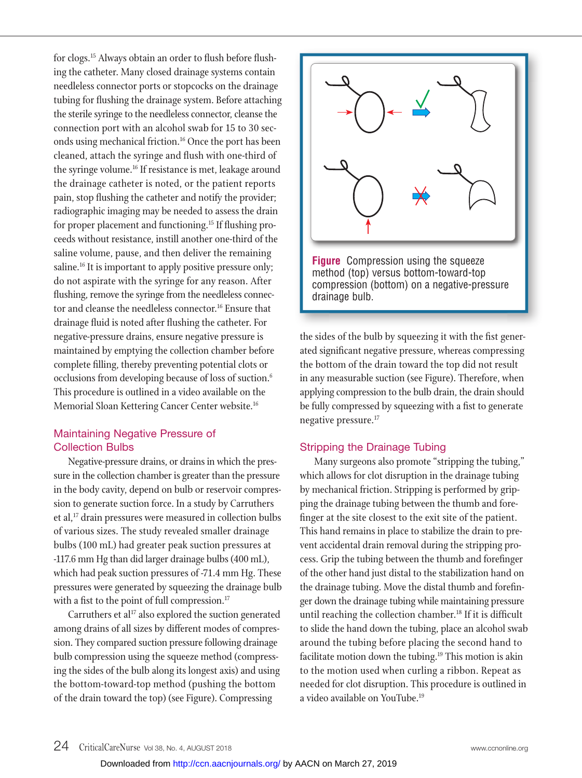for clogs.<sup>15</sup> Always obtain an order to flush before flushing the catheter. Many closed drainage systems contain needleless connector ports or stopcocks on the drainage tubing for flushing the drainage system. Before attaching the sterile syringe to the needleless connector, cleanse the connection port with an alcohol swab for 15 to 30 seconds using mechanical friction.<sup>16</sup> Once the port has been cleaned, attach the syringe and flush with one-third of the syringe volume.<sup>16</sup> If resistance is met, leakage around the drainage catheter is noted, or the patient reports pain, stop flushing the catheter and notify the provider; radiographic imaging may be needed to assess the drain for proper placement and functioning.<sup>15</sup> If flushing proceeds without resistance, instill another one-third of the saline volume, pause, and then deliver the remaining saline.<sup>16</sup> It is important to apply positive pressure only; do not aspirate with the syringe for any reason. After flushing, remove the syringe from the needleless connector and cleanse the needleless connector.<sup>16</sup> Ensure that drainage fluid is noted after flushing the catheter. For negative-pressure drains, ensure negative pressure is maintained by emptying the collection chamber before complete filling, thereby preventing potential clots or occlusions from developing because of loss of suction.<sup>6</sup> This procedure is outlined in a video available on the Memorial Sloan Kettering Cancer Center website.<sup>16</sup>

#### Maintaining Negative Pressure of Collection Bulbs

Negative-pressure drains, or drains in which the pressure in the collection chamber is greater than the pressure in the body cavity, depend on bulb or reservoir compression to generate suction force. In a study by Carruthers et al,<sup>17</sup> drain pressures were measured in collection bulbs of various sizes. The study revealed smaller drainage bulbs (100 mL) had greater peak suction pressures at -117.6 mm Hg than did larger drainage bulbs (400 mL), which had peak suction pressures of -71.4 mm Hg. These pressures were generated by squeezing the drainage bulb with a fist to the point of full compression. $^{17}$ 

Carruthers et al<sup>17</sup> also explored the suction generated among drains of all sizes by different modes of compression. They compared suction pressure following drainage bulb compression using the squeeze method (compressing the sides of the bulb along its longest axis) and using the bottom-toward-top method (pushing the bottom of the drain toward the top) (see Figure). Compressing



method (top) versus bottom-toward-top compression (bottom) on a negative-pressure drainage bulb.

the sides of the bulb by squeezing it with the fist generated significant negative pressure, whereas compressing the bottom of the drain toward the top did not result in any measurable suction (see Figure). Therefore, when applying compression to the bulb drain, the drain should be fully compressed by squeezing with a fist to generate negative pressure.<sup>17</sup>

#### Stripping the Drainage Tubing

Many surgeons also promote "stripping the tubing," which allows for clot disruption in the drainage tubing by mechanical friction. Stripping is performed by gripping the drainage tubing between the thumb and forefinger at the site closest to the exit site of the patient. This hand remains in place to stabilize the drain to prevent accidental drain removal during the stripping process. Grip the tubing between the thumb and forefinger of the other hand just distal to the stabilization hand on the drainage tubing. Move the distal thumb and forefinger down the drainage tubing while maintaining pressure until reaching the collection chamber.<sup>18</sup> If it is difficult to slide the hand down the tubing, place an alcohol swab around the tubing before placing the second hand to facilitate motion down the tubing.<sup>19</sup> This motion is akin to the motion used when curling a ribbon. Repeat as needed for clot disruption. This procedure is outlined in a video available on YouTube.19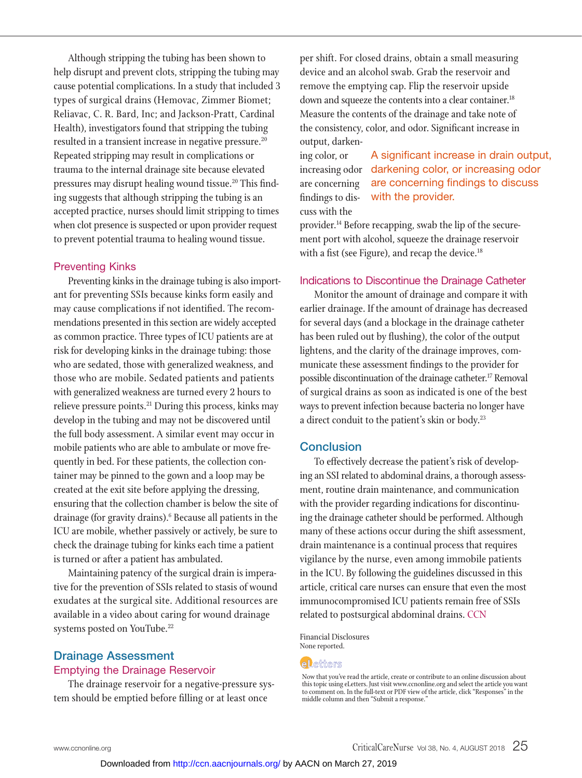Although stripping the tubing has been shown to help disrupt and prevent clots, stripping the tubing may cause potential complications. In a study that included 3 types of surgical drains (Hemovac, Zimmer Biomet; Reliavac, C. R. Bard, Inc; and Jackson-Pratt, Cardinal Health), investigators found that stripping the tubing resulted in a transient increase in negative pressure.<sup>20</sup> Repeated stripping may result in complications or trauma to the internal drainage site because elevated pressures may disrupt healing wound tissue.<sup>20</sup> This finding suggests that although stripping the tubing is an accepted practice, nurses should limit stripping to times when clot presence is suspected or upon provider request to prevent potential trauma to healing wound tissue.

#### Preventing Kinks

Preventing kinks in the drainage tubing is also important for preventing SSIs because kinks form easily and may cause complications if not identified. The recommendations presented in this section are widely accepted as common practice. Three types of ICU patients are at risk for developing kinks in the drainage tubing: those who are sedated, those with generalized weakness, and those who are mobile. Sedated patients and patients with generalized weakness are turned every 2 hours to relieve pressure points.<sup>21</sup> During this process, kinks may develop in the tubing and may not be discovered until the full body assessment. A similar event may occur in mobile patients who are able to ambulate or move frequently in bed. For these patients, the collection container may be pinned to the gown and a loop may be created at the exit site before applying the dressing, ensuring that the collection chamber is below the site of drainage (for gravity drains).6 Because all patients in the ICU are mobile, whether passively or actively, be sure to check the drainage tubing for kinks each time a patient is turned or after a patient has ambulated.

Maintaining patency of the surgical drain is imperative for the prevention of SSIs related to stasis of wound exudates at the surgical site. Additional resources are available in a video about caring for wound drainage systems posted on YouTube.<sup>22</sup>

#### **Drainage Assessment** Emptying the Drainage Reservoir

The drainage reservoir for a negative-pressure system should be emptied before filling or at least once

per shift. For closed drains, obtain a small measuring device and an alcohol swab. Grab the reservoir and remove the emptying cap. Flip the reservoir upside down and squeeze the contents into a clear container.<sup>18</sup> Measure the contents of the drainage and take note of the consistency, color, and odor. Significant increase in output, darken-

ing color, or increasing odor are concerning findings to discuss with the A significant increase in drain output, darkening color, or increasing odor are concerning findings to discuss with the provider.

provider.<sup>14</sup> Before recapping, swab the lip of the securement port with alcohol, squeeze the drainage reservoir with a fist (see Figure), and recap the device.<sup>18</sup>

#### Indications to Discontinue the Drainage Catheter

Monitor the amount of drainage and compare it with earlier drainage. If the amount of drainage has decreased for several days (and a blockage in the drainage catheter has been ruled out by flushing), the color of the output lightens, and the clarity of the drainage improves, communicate these assessment findings to the provider for possible discontinuation of the drainage catheter.<sup>17</sup> Removal of surgical drains as soon as indicated is one of the best ways to prevent infection because bacteria no longer have a direct conduit to the patient's skin or body.<sup>23</sup>

#### **Conclusion**

To effectively decrease the patient's risk of developing an SSI related to abdominal drains, a thorough assessment, routine drain maintenance, and communication with the provider regarding indications for discontinuing the drainage catheter should be performed. Although many of these actions occur during the shift assessment, drain maintenance is a continual process that requires vigilance by the nurse, even among immobile patients in the ICU. By following the guidelines discussed in this article, critical care nurses can ensure that even the most immunocompromised ICU patients remain free of SSIs related to postsurgical abdominal drains. CCN

Financial Disclosures None reported.

**el**etters

Now that you've read the article, create or contribute to an online discussion about this topic using eLetters. Just visit www.ccnonline.org and select the article you want to comment on. In the full-text or PDF view of the article, click "Responses" in the middle column and then "Submit a response."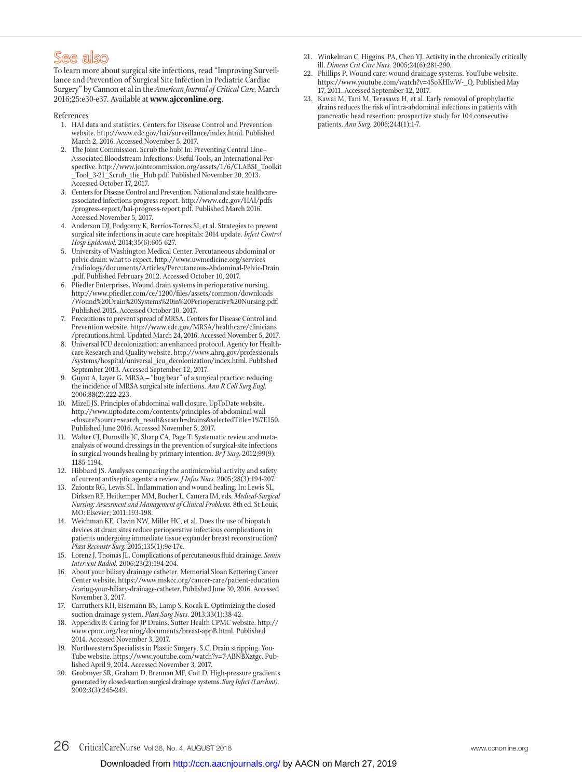### See also

To learn more about surgical site infections, read "Improving Surveillance and Prevention of Surgical Site Infection in Pediatric Cardiac Surgery" by Cannon et al in the *American Journal of Critical Care,* March 2016;25:e30-e37. Available at **www.ajcconline.org.**

References

- 1. HAI data and statistics. Centers for Disease Control and Prevention website. http://www.cdc.gov/hai/surveillance/index.html. Published March 2, 2016. Accessed November 5, 2017.
- 2. The Joint Commission. Scrub the hub! In: Preventing Central Line– Associated Bloodstream Infections: Useful Tools, an International Perspective. http://www.jointcommission.org/assets/1/6/CLABSI\_Toolkit \_Tool\_3-21\_Scrub\_the\_Hub.pdf. Published November 20, 2013. Accessed October 17, 2017.
- 3. Centers for Disease Control and Prevention. National and state healthcareassociated infections progress report. http://www.cdc.gov/HAI/pdfs /progress-report/hai-progress-report.pdf. Published March 2016. Accessed November 5, 2017.
- 4. Anderson DJ, Podgorny K, Berríos-Torres SI, et al. Strategies to prevent surgical site infections in acute care hospitals: 2014 update. *Infect Control Hosp Epidemiol.* 2014;35(6):605-627.
- 5. University of Washington Medical Center. Percutaneous abdominal or pelvic drain: what to expect. http://www.uwmedicine.org/services /radiology/documents/Articles/Percutaneous-Abdominal-Pelvic-Drain .pdf. Published February 2012. Accessed October 10, 2017.
- 6. Pfiedler Enterprises. Wound drain systems in perioperative nursing. http://www.pfiedler.com/ce/1200/files/assets/common/downloads /Wound%20Drain%20Systems%20in%20Perioperative%20Nursing.pdf. Published 2015. Accessed October 10, 2017.
- 7. Precautions to prevent spread of MRSA. Centers for Disease Control and Prevention website. http://www.cdc.gov/MRSA/healthcare/clinicians /precautions.html. Updated March 24, 2016. Accessed November 5, 2017.
- 8. Universal ICU decolonization: an enhanced protocol. Agency for Healthcare Research and Quality website. http://www.ahrq.gov/professionals /systems/hospital/universal\_icu\_decolonization/index.html. Published September 2013. Accessed September 12, 2017.
- Guyot A, Layer G. MRSA "bug bear" of a surgical practice: reducing the incidence of MRSA surgical site infections. *Ann R Coll Surg Engl.*  2006;88(2):222-223.
- 10. Mizell JS. Principles of abdominal wall closure. UpToDate website. http://www.uptodate.com/contents/principles-of-abdominal-wall -closure?source=search\_result&search=drains&selectedTitle=1%7E150. Published June 2016. Accessed November 5, 2017.
- 11. Walter CJ, Dumville JC, Sharp CA, Page T. Systematic review and metaanalysis of wound dressings in the prevention of surgical-site infections in surgical wounds healing by primary intention. *Br J Surg.* 2012;99(9): 1185-1194.
- 12. Hibbard JS. Analyses comparing the antimicrobial activity and safety of current antiseptic agents: a review. *J Infus Nurs.* 2005;28(3):194-207.
- 13. Zaiontz RG, Lewis SL. Inflammation and wound healing. In: Lewis SL, Dirksen RF, Heitkemper MM, Bucher L, Camera IM, eds. *Medical-Surgical Nursing: Assessment and Management of Clinical Problems.* 8th ed. St Louis, MO: Elsevier; 2011:193-198.
- 14. Weichman KE, Clavin NW, Miller HC, et al. Does the use of biopatch devices at drain sites reduce perioperative infectious complications in patients undergoing immediate tissue expander breast reconstruction? *Plast Reconstr Surg.* 2015;135(1):9e-17e.
- 15. Lorenz J, Thomas JL. Complications of percutaneous fluid drainage. *Semin Intervent Radiol.* 2006;23(2):194-204.
- 16. About your biliary drainage catheter. Memorial Sloan Kettering Cancer Center website. https://www.mskcc.org/cancer-care/patient-education /caring-your-biliary-drainage-catheter. Published June 30, 2016. Accessed November 3, 2017.
- 17. Carruthers KH, Eisemann BS, Lamp S, Kocak E. Optimizing the closed suction drainage system. *Plast Surg Nurs.* 2013;33(1):38-42.
- 18. Appendix B: Caring for JP Drains. Sutter Health CPMC website. http:// www.cpmc.org/learning/documents/breast-appB.html. Published 2014. Accessed November 3, 2017.
- 19. Northwestern Specialists in Plastic Surgery, S.C. Drain stripping. You-Tube website. https://www.youtube.com/watch?v=7-ABNBXztgc. Published April 9, 2014. Accessed November 3, 2017.
- 20. Grobmyer SR, Graham D, Brennan MF, Coit D. High-pressure gradients generated by closed-suction surgical drainage systems. *Surg Infect (Larchmt).* 2002;3(3):245-249.
- 21. Winkelman C, Higgins, PA, Chen YJ. Activity in the chronically critically ill. *Dimens Crit Care Nurs.* 2005;24(6):281-290.
- 22. Phillips P. Wound care: wound drainage systems. YouTube website. https://www.youtube.com/watch?v=4SoKHIwW-\_Q. Published May 17, 2011. Accessed September 12, 2017.
- 23. Kawai M, Tani M, Terasawa H, et al. Early removal of prophylactic drains reduces the risk of intra-abdominal infections in patients with pancreatic head resection: prospective study for 104 consecutive patients. *Ann Surg.* 2006;244(1):1-7.